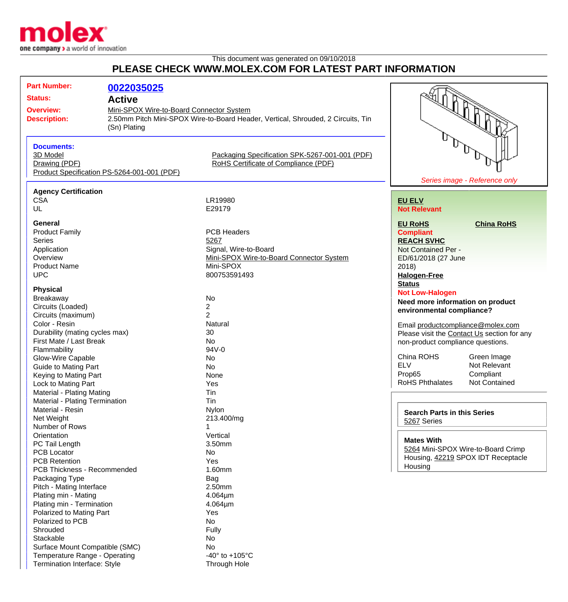

## This document was generated on 09/10/2018 **PLEASE CHECK WWW.MOLEX.COM FOR LATEST PART INFORMATION**

| <b>Part Number:</b>                                        |                                             |                                                                                  |                                             |
|------------------------------------------------------------|---------------------------------------------|----------------------------------------------------------------------------------|---------------------------------------------|
|                                                            | 0022035025                                  |                                                                                  |                                             |
| <b>Status:</b><br><b>Active</b>                            |                                             | Mini-SPOX Wire-to-Board Connector System                                         |                                             |
| <b>Overview:</b>                                           |                                             |                                                                                  |                                             |
| <b>Description:</b>                                        |                                             | 2.50mm Pitch Mini-SPOX Wire-to-Board Header, Vertical, Shrouded, 2 Circuits, Tin |                                             |
|                                                            | (Sn) Plating                                |                                                                                  |                                             |
|                                                            |                                             |                                                                                  |                                             |
| <b>Documents:</b>                                          |                                             |                                                                                  |                                             |
| 3D Model                                                   |                                             | Packaging Specification SPK-5267-001-001 (PDF)                                   |                                             |
| Drawing (PDF)                                              |                                             | RoHS Certificate of Compliance (PDF)                                             |                                             |
|                                                            | Product Specification PS-5264-001-001 (PDF) |                                                                                  |                                             |
|                                                            |                                             |                                                                                  | Series image - Reference only               |
|                                                            |                                             |                                                                                  |                                             |
| <b>Agency Certification</b>                                |                                             |                                                                                  |                                             |
| <b>CSA</b>                                                 |                                             | LR19980                                                                          | <b>EU ELV</b>                               |
| UL                                                         |                                             | E29179                                                                           | <b>Not Relevant</b>                         |
| <b>General</b>                                             |                                             |                                                                                  | <b>EU RoHS</b><br><b>China RoHS</b>         |
| <b>Product Family</b>                                      |                                             | <b>PCB Headers</b>                                                               | <b>Compliant</b>                            |
| <b>Series</b>                                              |                                             | 5267                                                                             | <b>REACH SVHC</b>                           |
| Application                                                |                                             | Signal, Wire-to-Board                                                            | Not Contained Per -                         |
| Overview                                                   |                                             | Mini-SPOX Wire-to-Board Connector System                                         | ED/61/2018 (27 June                         |
| <b>Product Name</b>                                        |                                             | Mini-SPOX                                                                        | 2018                                        |
| <b>UPC</b>                                                 |                                             | 800753591493                                                                     |                                             |
|                                                            |                                             |                                                                                  | <b>Halogen-Free</b>                         |
| <b>Physical</b>                                            |                                             |                                                                                  | <b>Status</b>                               |
| Breakaway                                                  |                                             | <b>No</b>                                                                        | <b>Not Low-Halogen</b>                      |
| Circuits (Loaded)                                          |                                             | $\overline{c}$                                                                   | Need more information on product            |
| Circuits (maximum)                                         |                                             | $\overline{2}$                                                                   | environmental compliance?                   |
| Color - Resin                                              |                                             | Natural                                                                          | Email productcompliance@molex.com           |
| Durability (mating cycles max)                             |                                             | 30                                                                               | Please visit the Contact Us section for any |
| First Mate / Last Break                                    |                                             | <b>No</b>                                                                        | non-product compliance questions.           |
| Flammability                                               |                                             | 94V-0                                                                            |                                             |
| Glow-Wire Capable                                          |                                             | No                                                                               | China ROHS<br>Green Image                   |
| <b>Guide to Mating Part</b>                                |                                             | No                                                                               | <b>ELV</b><br>Not Relevant                  |
| Keying to Mating Part                                      |                                             | None                                                                             | Prop65<br>Compliant                         |
| Lock to Mating Part                                        |                                             | Yes                                                                              | <b>RoHS Phthalates</b><br>Not Contained     |
|                                                            |                                             |                                                                                  |                                             |
| Material - Plating Mating                                  |                                             | Tin                                                                              |                                             |
| Material - Plating Termination                             |                                             | Tin                                                                              |                                             |
| Material - Resin                                           |                                             | <b>Nylon</b>                                                                     | <b>Search Parts in this Series</b>          |
| Net Weight                                                 |                                             | 213.400/mg                                                                       | 5267 Series                                 |
| Number of Rows                                             |                                             |                                                                                  |                                             |
| Orientation                                                |                                             | Vertical                                                                         | <b>Mates With</b>                           |
| PC Tail Length                                             |                                             | 3.50mm                                                                           | 5264 Mini-SPOX Wire-to-Board Crimp          |
| <b>PCB Locator</b>                                         |                                             | No                                                                               | Housing, 42219 SPOX IDT Receptacle          |
| <b>PCB Retention</b><br><b>PCB Thickness - Recommended</b> |                                             | Yes                                                                              | Housing                                     |
|                                                            |                                             | 1.60mm                                                                           |                                             |
| Packaging Type                                             |                                             | Bag                                                                              |                                             |
| Pitch - Mating Interface                                   |                                             | 2.50mm                                                                           |                                             |
| Plating min - Mating                                       |                                             | 4.064µm                                                                          |                                             |
| Plating min - Termination                                  |                                             | 4.064µm                                                                          |                                             |
| Polarized to Mating Part                                   |                                             | Yes                                                                              |                                             |
| Polarized to PCB                                           |                                             | No                                                                               |                                             |
| Shrouded                                                   |                                             | Fully                                                                            |                                             |
| Stackable                                                  |                                             | No                                                                               |                                             |
| Surface Mount Compatible (SMC)                             |                                             | No                                                                               |                                             |

Temperature Range - Operating  $-40^{\circ}$  to +105°C Termination Interface: Style Through Hole